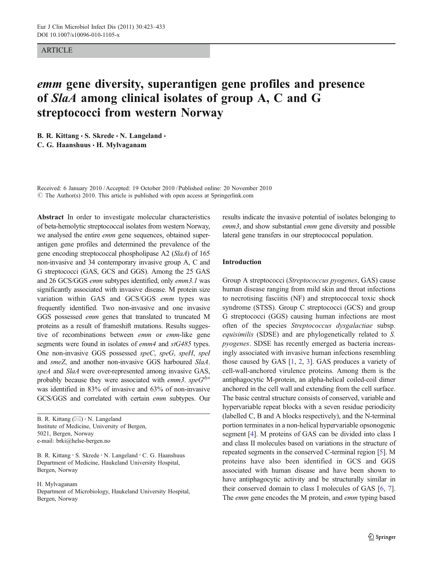#### ARTICLE

# emm gene diversity, superantigen gene profiles and presence of SlaA among clinical isolates of group A, C and G streptococci from western Norway

B. R. Kittang  $\cdot$  S. Skrede  $\cdot$  N. Langeland  $\cdot$ C. G. Haanshuus · H. Mylvaganam

Received: 6 January 2010 /Accepted: 19 October 2010 / Published online: 20 November 2010  $\odot$  The Author(s) 2010. This article is published with open access at Springerlink.com

Abstract In order to investigate molecular characteristics of beta-hemolytic streptococcal isolates from western Norway, we analysed the entire emm gene sequences, obtained superantigen gene profiles and determined the prevalence of the gene encoding streptococcal phospholipase A2 (SlaA) of 165 non-invasive and 34 contemporary invasive group A, C and G streptococci (GAS, GCS and GGS). Among the 25 GAS and 26 GCS/GGS emm subtypes identified, only emm3.1 was significantly associated with invasive disease. M protein size variation within GAS and GCS/GGS emm types was frequently identified. Two non-invasive and one invasive GGS possessed emm genes that translated to truncated M proteins as a result of frameshift mutations. Results suggestive of recombinations between emm or emm-like gene segments were found in isolates of *emm4* and  $stG485$  types. One non-invasive GGS possessed speC, speG, speH, speI and smeZ, and another non-invasive GGS harboured SlaA. speA and SlaA were over-represented among invasive GAS, probably because they were associated with emm3.  $spec^{dys}$ was identified in 83% of invasive and 63% of non-invasive GCS/GGS and correlated with certain emm subtypes. Our

B. R. Kittang  $(\boxtimes) \cdot N$ . Langeland Institute of Medicine, University of Bergen, 5021, Bergen, Norway e-mail: brki@helse-bergen.no

B. R. Kittang : S. Skrede : N. Langeland : C. G. Haanshuus Department of Medicine, Haukeland University Hospital, Bergen, Norway

H. Mylvaganam

Department of Microbiology, Haukeland University Hospital, Bergen, Norway

results indicate the invasive potential of isolates belonging to emm3, and show substantial emm gene diversity and possible lateral gene transfers in our streptococcal population.

## Introduction

Group A streptococci (Streptococcus pyogenes, GAS) cause human disease ranging from mild skin and throat infections to necrotising fasciitis (NF) and streptococcal toxic shock syndrome (STSS). Group C streptococci (GCS) and group G streptococci (GGS) causing human infections are most often of the species Streptococcus dysgalactiae subsp. equisimilis (SDSE) and are phylogenetically related to S. pyogenes. SDSE has recently emerged as bacteria increasingly associated with invasive human infections resembling those caused by GAS [\[1](#page-8-0), [2,](#page-8-0) [3\]](#page-8-0). GAS produces a variety of cell-wall-anchored virulence proteins. Among them is the antiphagocytic M-protein, an alpha-helical coiled-coil dimer anchored in the cell wall and extending from the cell surface. The basic central structure consists of conserved, variable and hypervariable repeat blocks with a seven residue periodicity (labelled C, B and A blocks respectively), and the N-terminal portion terminates in a non-helical hypervariable opsonogenic segment [\[4](#page-8-0)]. M proteins of GAS can be divided into class I and class II molecules based on variations in the structure of repeated segments in the conserved C-terminal region [\[5](#page-8-0)]. M proteins have also been identified in GCS and GGS associated with human disease and have been shown to have antiphagocytic activity and be structurally similar in their conserved domain to class I molecules of GAS [\[6,](#page-8-0) [7\]](#page-8-0). The *emm* gene encodes the M protein, and *emm* typing based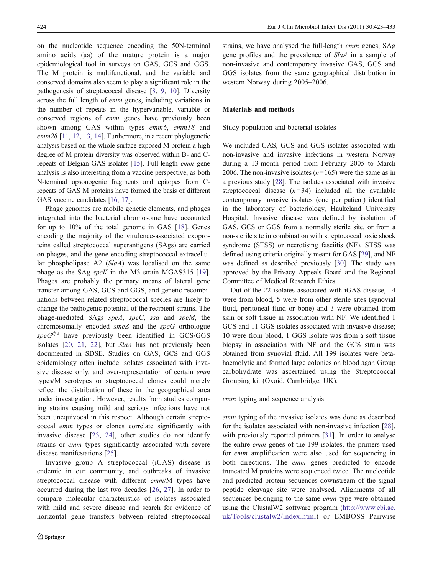on the nucleotide sequence encoding the 50N-terminal amino acids (aa) of the mature protein is a major epidemiological tool in surveys on GAS, GCS and GGS. The M protein is multifunctional, and the variable and conserved domains also seem to play a significant role in the pathogenesis of streptococcal disease [\[8](#page-8-0), [9](#page-8-0), [10](#page-8-0)]. Diversity across the full length of emm genes, including variations in the number of repeats in the hypervariable, variable or conserved regions of emm genes have previously been shown among GAS within types emm6, emm18 and emm<sub>28</sub> [\[11,](#page-8-0) [12](#page-8-0), [13](#page-8-0), [14](#page-8-0)]. Furthermore, in a recent phylogenetic analysis based on the whole surface exposed M protein a high degree of M protein diversity was observed within B- and Crepeats of Belgian GAS isolates [\[15\]](#page-8-0). Full-length emm gene analysis is also interesting from a vaccine perspective, as both N-terminal opsonogenic fragments and epitopes from Crepeats of GAS M proteins have formed the basis of different GAS vaccine candidates [\[16](#page-8-0), [17\]](#page-8-0).

Phage genomes are mobile genetic elements, and phages integrated into the bacterial chromosome have accounted for up to 10% of the total genome in GAS [\[18](#page-9-0)]. Genes encoding the majority of the virulence-associated exoproteins called streptococcal superantigens (SAgs) are carried on phages, and the gene encoding streptococcal extracellular phospholipase A2 (SlaA) was localised on the same phage as the SAg speK in the M3 strain MGAS315 [\[19](#page-9-0)]. Phages are probably the primary means of lateral gene transfer among GAS, GCS and GGS, and genetic recombinations between related streptococcal species are likely to change the pathogenic potential of the recipient strains. The phage-mediated SAgs speA, speC, ssa and speM, the chromosomally encoded smeZ and the speG orthologue  $speG<sup>dys</sup>$  have previously been identified in GCS/GGS isolates [[20,](#page-9-0) [21,](#page-9-0) [22](#page-9-0)], but SlaA has not previously been documented in SDSE. Studies on GAS, GCS and GGS epidemiology often include isolates associated with invasive disease only, and over-representation of certain emm types/M serotypes or streptococcal clones could merely reflect the distribution of these in the geographical area under investigation. However, results from studies comparing strains causing mild and serious infections have not been unequivocal in this respect. Although certain streptococcal emm types or clones correlate significantly with invasive disease [[23,](#page-9-0) [24\]](#page-9-0), other studies do not identify strains or emm types significantly associated with severe disease manifestations [[25\]](#page-9-0).

Invasive group A streptococcal (iGAS) disease is endemic in our community, and outbreaks of invasive streptococcal disease with different emm/M types have occurred during the last two decades [\[26](#page-9-0), [27](#page-9-0)]. In order to compare molecular characteristics of isolates associated with mild and severe disease and search for evidence of horizontal gene transfers between related streptococcal

strains, we have analysed the full-length emm genes, SAg gene profiles and the prevalence of SlaA in a sample of non-invasive and contemporary invasive GAS, GCS and GGS isolates from the same geographical distribution in western Norway during 2005–2006.

#### Materials and methods

Study population and bacterial isolates

We included GAS, GCS and GGS isolates associated with non-invasive and invasive infections in western Norway during a 13-month period from February 2005 to March 2006. The non-invasive isolates  $(n=165)$  were the same as in a previous study [\[28](#page-9-0)]. The isolates associated with invasive streptococcal disease  $(n=34)$  included all the available contemporary invasive isolates (one per patient) identified in the laboratory of bacteriology, Haukeland University Hospital. Invasive disease was defined by isolation of GAS, GCS or GGS from a normally sterile site, or from a non-sterile site in combination with streptococcal toxic shock syndrome (STSS) or necrotising fasciitis (NF). STSS was defined using criteria originally meant for GAS [[29\]](#page-9-0), and NF was defined as described previously [\[30\]](#page-9-0). The study was approved by the Privacy Appeals Board and the Regional Committee of Medical Research Ethics.

Out of the 22 isolates associated with iGAS disease, 14 were from blood, 5 were from other sterile sites (synovial fluid, peritoneal fluid or bone) and 3 were obtained from skin or soft tissue in association with NF. We identified 1 GCS and 11 GGS isolates associated with invasive disease; 10 were from blood, 1 GGS isolate was from a soft tissue biopsy in association with NF and the GCS strain was obtained from synovial fluid. All 199 isolates were betahaemolytic and formed large colonies on blood agar. Group carbohydrate was ascertained using the Streptococcal Grouping kit (Oxoid, Cambridge, UK).

emm typing and sequence analysis

emm typing of the invasive isolates was done as described for the isolates associated with non-invasive infection [[28\]](#page-9-0), with previously reported primers [[31\]](#page-9-0). In order to analyse the entire emm genes of the 199 isolates, the primers used for emm amplification were also used for sequencing in both directions. The emm genes predicted to encode truncated M proteins were sequenced twice. The nucleotide and predicted protein sequences downstream of the signal peptide cleavage site were analysed. Alignments of all sequences belonging to the same emm type were obtained using the ClustalW2 software program ([http://www.ebi.ac.](http://www.ebi.ac.uk/Tools/clustalw2/index.html) [uk/Tools/clustalw2/index.html\)](http://www.ebi.ac.uk/Tools/clustalw2/index.html) or EMBOSS Pairwise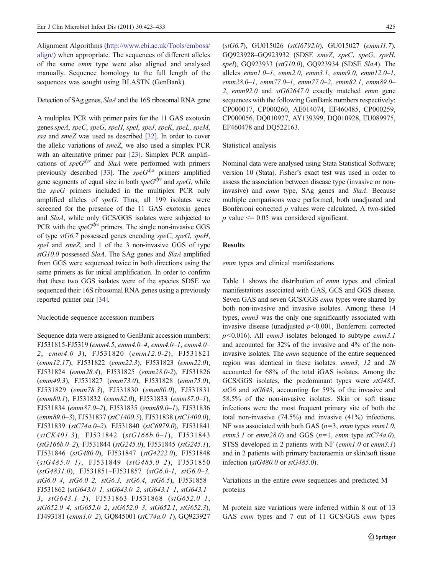Alignment Algorithms ([http://www.ebi.ac.uk/Tools/emboss/](http://www.ebi.ac.uk/Tools/emboss/align/) [align/](http://www.ebi.ac.uk/Tools/emboss/align/)) when appropriate. The sequences of different alleles of the same emm type were also aligned and analysed manually. Sequence homology to the full length of the sequences was sought using BLASTN (GenBank).

Detection of SAg genes, SlaA and the 16S ribosomal RNA gene

A multiplex PCR with primer pairs for the 11 GAS exotoxin genes speA, speC, speG, speH, speI, speJ, speK, speL, speM, ssa and smeZ was used as described [[32\]](#page-9-0). In order to cover the allelic variations of smeZ, we also used a simplex PCR with an alternative primer pair [[23](#page-9-0)]. Simplex PCR amplifications of spe $G^{dys}$  and SlaA were performed with primers previously described [\[33\]](#page-9-0). The  $\text{spec}G^{dys}$  primers amplified gene segments of equal size in both  $\text{spe}G^{dys}$  and  $\text{spe}G$ , while the speG primers included in the multiplex PCR only amplified alleles of speG. Thus, all 199 isolates were screened for the presence of the 11 GAS exotoxin genes and SlaA, while only GCS/GGS isolates were subjected to PCR with the  $\text{spe}G^{dys}$  primers. The single non-invasive GGS of type stG6.7 possessed genes encoding speC, speG, speH, speI and smeZ, and 1 of the 3 non-invasive GGS of type stG10.0 possessed SlaA. The SAg genes and SlaA amplified from GGS were sequenced twice in both directions using the same primers as for initial amplification. In order to confirm that these two GGS isolates were of the species SDSE we sequenced their 16S ribosomal RNA genes using a previously reported primer pair [[34](#page-9-0)].

#### Nucleotide sequence accession numbers

Sequence data were assigned to GenBank accession numbers: FJ531815-FJ5319 (emm4.5, emm4.0–4, emm4.0–1, emm4.0– 2, emm4.0–3), FJ531820 (emm12.0-2), FJ531821 (emm12.17), FJ531822 (emm22.3), FJ531823 (emm22.0), FJ531824 (emm28.4), FJ531825 (emm28.0-2), FJ531826 (emm49.3), FJ531827 (emm73.0), FJ531828 (emm75.0), FJ531829 (emm78.3), FJ531830 (emm80.0), FJ531831 (emm80.1), FJ531832 (emm82.0), FJ531833 (emm87.0–1), FJ531834 (emm87.0–2), FJ531835 (emm89.0–1), FJ531836 (emm89.0–3), FJ531837 (stC1400.5), FJ531838 (stC1400.0), FJ531839 (stC74a.0–2), FJ531840 (stC6979.0), FJ531841 (stCK401.3), FJ531842 (stG166b.0–1), FJ531843 (stG166b.0–2), FJ531844 (stG245.0), FJ531845 (stG245.1), FJ531846 (stG480.0), FJ531847 (stG4222.0), FJ531848  $(stG485.0-1)$ , FJ531849  $(stG485.0-2)$ , FJ531850 (stG4831.0), FJ531851–FJ531857 (stG6.0-1, stG6.0–3, stG6.0–4, stG6.0–2, stG6.3, stG6.4, stG6.5), FJ531858– FJ531862 (stG643.0–1, stG643.0–2, stG643.1–1, stG643.1– 3, stG643.1–2), FJ531863–FJ531868 (stG652.0–1, stG652.0–4, stG652.0–2, stG652.0–3, stG652.1, stG652.3), FJ493181 (emm1.0–2), GQ845001 (stC74a.0–1), GQ923927 (stG6.7), GU015026 (stG6792.0), GU015027 (emm11.7), GQ923928–GQ923932 (SDSE smeZ, speC, speG, speH, speI), GQ923933 (stG10.0), GQ923934 (SDSE SlaA). The alleles  $emm1.0–1$ ,  $emm2.0$ ,  $emm3.1$ ,  $emm9.0$ ,  $emm12.0–1$ , emm28.0–1, emm77.0–1, emm77.0–2, emm82.1, emm89.0– 2, emm92.0 and stG62647.0 exactly matched emm gene sequences with the following GenBank numbers respectively: CP000017, CP000260, AE014074, EF460485, CP000259, CP000056, DQ010927, AY139399, DQ010928, EU089975, EF460478 and DQ522163.

#### Statistical analysis

Nominal data were analysed using Stata Statistical Software; version 10 (Stata). Fisher's exact test was used in order to assess the association between disease type (invasive or noninvasive) and emm type, SAg genes and SlaA. Because multiple comparisons were performed, both unadjusted and Bonferroni corrected *p* values were calculated. A two-sided  $p$  value  $\leq 0.05$  was considered significant.

## Results

emm types and clinical manifestations

Table [1](#page-3-0) shows the distribution of emm types and clinical manifestations associated with GAS, GCS and GGS disease. Seven GAS and seven GCS/GGS emm types were shared by both non-invasive and invasive isolates. Among these 14 types, emm3 was the only one significantly associated with invasive disease (unadjusted  $p<0.001$ , Bonferroni corrected  $p<0.016$ ). All emm3 isolates belonged to subtype emm3.1 and accounted for 32% of the invasive and 4% of the noninvasive isolates. The emm sequence of the entire sequenced region was identical in these isolates. emm3, 12 and 28 accounted for 68% of the total iGAS isolates. Among the GCS/GGS isolates, the predominant types were stG485, stG6 and stG643, accounting for 59% of the invasive and 58.5% of the non-invasive isolates. Skin or soft tissue infections were the most frequent primary site of both the total non-invasive (74.5%) and invasive (41%) infections. NF was associated with both GAS ( $n=3$ , emm types emm1.0, emm3.1 or emm28.0) and GGS ( $n=1$ , emm type stC74a.0). STSS developed in 2 patients with NF (emm1.0 or emm3.1) and in 2 patients with primary bacteraemia or skin/soft tissue infection ( $stG480.0$  or  $stG485.0$ ).

Variations in the entire emm sequences and predicted M proteins

M protein size variations were inferred within 8 out of 13 GAS emm types and 7 out of 11 GCS/GGS emm types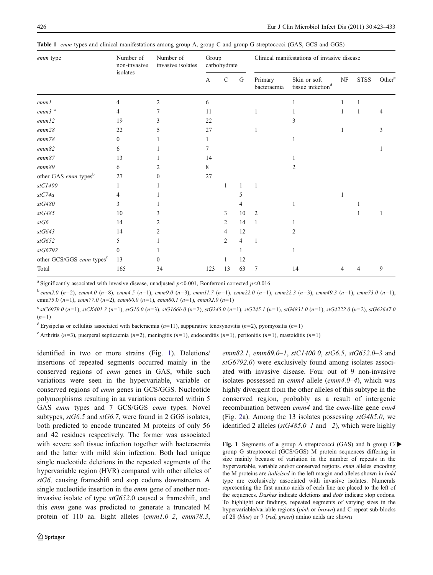<span id="page-3-0"></span>

|  | Table 1 emm types and clinical manifestations among group A, group C and group G streptococci (GAS, GCS and GGS) |  |  |  |  |  |
|--|------------------------------------------------------------------------------------------------------------------|--|--|--|--|--|
|--|------------------------------------------------------------------------------------------------------------------|--|--|--|--|--|

| emm type                             | Number of<br>non-invasive | Number of<br>invasive isolates | Group        | carbohydrate   |                |                        | Clinical manifestations of invasive disease |           |             |                    |
|--------------------------------------|---------------------------|--------------------------------|--------------|----------------|----------------|------------------------|---------------------------------------------|-----------|-------------|--------------------|
|                                      | isolates                  |                                | $\mathbf{A}$ | $\mathcal{C}$  | G              | Primary<br>bacteraemia | Skin or soft<br>tissue infection $d$        | $\rm{NF}$ | <b>STSS</b> | Other <sup>e</sup> |
| emml                                 | 4                         | $\overline{2}$                 | 6            |                |                |                        |                                             | 1         |             |                    |
| $emm3$ <sup>a</sup>                  | 4                         |                                | 11           |                |                | 1                      |                                             |           |             | 4                  |
| emm12                                | 19                        | 3                              | 22           |                |                |                        | 3                                           |           |             |                    |
| emm28                                | 22                        | 5                              | 27           |                |                | 1                      |                                             | 1         |             | 3                  |
| emm78                                | $\theta$                  |                                |              |                |                |                        |                                             |           |             |                    |
| emm82                                | 6                         |                                | 7            |                |                |                        |                                             |           |             |                    |
| $emm87$                              | 13                        |                                | 14           |                |                |                        |                                             |           |             |                    |
| emm89                                | 6                         |                                | 8            |                |                |                        | 2                                           |           |             |                    |
| other GAS emm types <sup>b</sup>     | 27                        | $\theta$                       | 27           |                |                |                        |                                             |           |             |                    |
| stC1400                              | 1                         |                                |              | 1              |                | 1                      |                                             |           |             |                    |
| stC74a                               | 4                         |                                |              |                | 5              |                        |                                             |           |             |                    |
| stG480                               | 3                         |                                |              |                | 4              |                        |                                             |           |             |                    |
| $stG485$                             | 10                        | 3                              |              | 3              | 10             | $\overline{2}$         |                                             |           |             |                    |
| stG6                                 | 14                        | 2                              |              | 2              | 14             | 1                      |                                             |           |             |                    |
| stG643                               | 14                        | 2                              |              | 4              | 12             |                        | 2                                           |           |             |                    |
| stG652                               | 5                         |                                |              | $\overline{2}$ | $\overline{4}$ | 1                      |                                             |           |             |                    |
| stG6792                              | $\bf{0}$                  |                                |              |                |                |                        | $\mathbf{1}$                                |           |             |                    |
| other GCS/GGS emm types <sup>c</sup> | 13                        | $\theta$                       |              |                | 12             |                        |                                             |           |             |                    |
| Total                                | 165                       | 34                             | 123          | 13             | 63             | 7                      | 14                                          | 4         |             | 9                  |

<sup>a</sup> Significantly associated with invasive disease, unadjusted  $p$  < 0.001, Bonferroni corrected  $p$  < 0.016

 $b$  emm2.0 (n=2), emm4.0 (n=8), emm4.5 (n=1), emm9.0 (n=3), emm11.7 (n=1), emm22.0 (n=1), emm22.3 (n=3), emm49.3 (n=1), emm73.0 (n=1), emm75.0 (n=1), emm77.0 (n=2), emm80.0 (n=1), emm80.1 (n=1), emm92.0 (n=1)

 $c$  stC6979.0 (n=1), stCK401.3 (n=1), stG10.0 (n=3), stG166b.0 (n=2), stG245.0 (n=1), stG4831.0 (n=1), stG4222.0 (n=2), stG62647.0  $(n=1)$ 

<sup>d</sup> Erysipelas or cellulitis associated with bacteraemia ( $n=11$ ), suppurative tenosynovitis ( $n=2$ ), pyomyositis ( $n=1$ )

<sup>e</sup> Arthritis (n=3), puerperal septicaemia (n=2), meningitis (n=1), endocarditis (n=1), peritonitis (n=1), mastoiditis (n=1)

identified in two or more strains (Fig. 1). Deletions/ insertions of repeated segments occurred mainly in the conserved regions of emm genes in GAS, while such variations were seen in the hypervariable, variable or conserved regions of emm genes in GCS/GGS. Nucleotide polymorphisms resulting in aa variations occurred within 5 GAS emm types and 7 GCS/GGS emm types. Novel subtypes,  $stG6.5$  and  $stG6.7$ , were found in 2 GGS isolates, both predicted to encode truncated M proteins of only 56 and 42 residues respectively. The former was associated with severe soft tissue infection together with bacteraemia and the latter with mild skin infection. Both had unique single nucleotide deletions in the repeated segments of the hypervariable region (HVR) compared with other alleles of stG6, causing frameshift and stop codons downstream. A single nucleotide insertion in the *emm* gene of another noninvasive isolate of type stG652.0 caused a frameshift, and this emm gene was predicted to generate a truncated M protein of 110 aa. Eight alleles (emm1.0–2, emm78.3,

emm82.1, emm89.0-1, stC1400.0, stG6.5, stG652.0-3 and stG6792.0) were exclusively found among isolates associated with invasive disease. Four out of 9 non-invasive isolates possessed an emm4 allele (emm4.0–4), which was highly divergent from the other alleles of this subtype in the conserved region, probably as a result of intergenic recombination between emm4 and the emm-like gene enn4 (Fig. [2a](#page-5-0)). Among the 13 isolates possessing  $stG485.0$ , we identified 2 alleles ( $stG485.0-1$  and  $-2$ ), which were highly

Fig. 1 Segments of a group A streptococci (GAS) and b group  $C/D$ group G streptococci (GCS/GGS) M protein sequences differing in size mainly because of variation in the number of repeats in the hypervariable, variable and/or conserved regions. emm alleles encoding the M proteins are italicised in the left margin and alleles shown in bold type are exclusively associated with invasive isolates. Numerals representing the first amino acids of each line are placed to the left of the sequences. Dashes indicate deletions and dots indicate stop codons. To highlight our findings, repeated segments of varying sizes in the hypervariable/variable regions (pink or brown) and C-repeat sub-blocks of 28 (blue) or 7 (red, green) amino acids are shown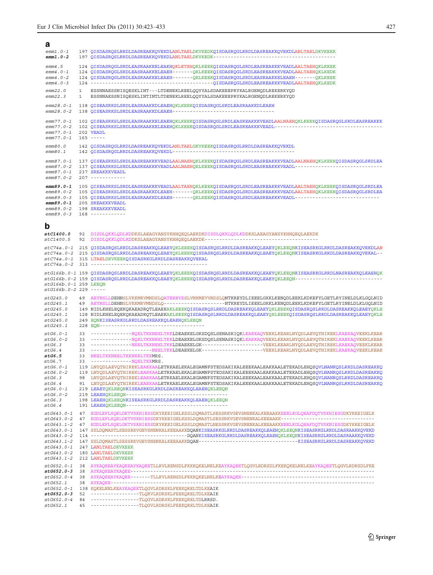| а<br>$emm1.0-1$                                                                              |          | 197 QISDASRQSLRRDLDASREAKKQVEKDLANLTAELDKVKEDKQISDASRQGLRRDLDASREAKKQVEKDLANLTAELDKVKEEK                                                                                                                                                                                                                                                                                                                                                                                                                                                                                              |
|----------------------------------------------------------------------------------------------|----------|---------------------------------------------------------------------------------------------------------------------------------------------------------------------------------------------------------------------------------------------------------------------------------------------------------------------------------------------------------------------------------------------------------------------------------------------------------------------------------------------------------------------------------------------------------------------------------------|
| $emm1.0-2$                                                                                   |          |                                                                                                                                                                                                                                                                                                                                                                                                                                                                                                                                                                                       |
| emm4.5<br>$emm4.0-1$<br>$emm4.0-2$<br>$emm4.0-3$                                             |          | 124 QISDASRQGLSRDLEASRAAKKELEAKHQKLETEHQKLKEEKQISDASRQGLSRDLEASREAKKKVEADLAALTAEHQKLKEEK<br>124 QISDASRQGLSRDLEASRAAKKELEAEH-------QKLKEEKQISDASRQGLSRDLEASREAKKKVEADLAALTAEHQKLKEDK<br>124 OISDASROGLSRDLEASRAAKKELEAEH-------OKLKEEKOISDASROGLSRDLEASRAAKKELEAEH-------OKLKEEK                                                                                                                                                                                                                                                                                                      |
| emm22.0<br>emm22.3                                                                           | 1<br>1   | ESSNNAESSNISQESKLINT---LTDENEKLREELQQYYALSDAKEEEPRYKALRGENQDLREKERKYQD<br>ESSNNAESSNISQESKLINTINTLTDENEKLREELQQYYALSDAKEEEPRYKALRGENQDLREKERKYQD                                                                                                                                                                                                                                                                                                                                                                                                                                      |
| $emm28.0 - 1$<br>$emm28.0 - 2$                                                               |          | 138 QISEASRKSLSRDLEASRAAKKDLEAEHQKLKEEKQISDASRQGLSRDLEASRAAKKDLEAEH                                                                                                                                                                                                                                                                                                                                                                                                                                                                                                                   |
| $emm77.0 - 1$<br>$emm77.0-2$<br>$emm77.0 - 1$<br>$emm77.0 - 1$                               |          | 102 QISEASRKSLSRDLEASRAAKKELEAEHQKLKEEKQISDASRQGLSRDLEASREAKKKVEADLAALNAEHQKLKEEKQISDASRQGLSRDLEASREAKKK<br>102 QISEASRKSLSRDLEASRAAKKELEAEHQKLKEEKQISDASRQGLSRDLEASREAKKKVEADL---------------------------------<br>202 VEADL<br>$165 - - - -$                                                                                                                                                                                                                                                                                                                                        |
| emm80.0<br>emm80.1                                                                           |          | 142 QISDASRQGLRRDLDASREAKKQVEKDLANLTAELGKVKEEKQISDASRQGLRRDLDASREAKKQVEKDL                                                                                                                                                                                                                                                                                                                                                                                                                                                                                                            |
| $emm87.0-1$<br>$emm87.0-2$<br>$emm87.0 - 1$<br>$emm87.0-2$                                   |          | 137 QISEASRKSLSRDLEASREAKKKVEADLAALNAEHQKLKEEKQISDASRQGLSRDLEASREAKKKVEADLAALNAEHQKLKEEKQISDASRQGLSRDLEA<br>137 QISEASRKSLSRDLEASREAKKKVEADLAALNAEHQKLKEEKQISDASRQGLSRDLEASREAKKKVEADL--------------------------<br>237 SREAKKKVEADL<br>$207 - - - - - - - - - - - -$                                                                                                                                                                                                                                                                                                                 |
| $emm89.0 - 1$<br>$emm89.0-2$<br>$emm89.0-3$<br>$emm89.0-1$<br>emm89.0-2<br>$emm89.0-3$       |          | 105 QISEASRKSLSRDLEASREAKKKVEADLAALTAEHQKLKEEKQISDASRQGLSRDLEASREAKKKVEADLAALTAEHQKLKEEKQISDASRQGLSRDLEA<br>105 QISEASRKSLSRDLEASRAAKKDLEAEH-------QKLKEEKQISDASRQGLSRDLEASREAKKKVEADLAALTAEHQKLKEEKQISDASRQGLSRDLEA<br>105 QISEASRKSLSRDLEASRAAKKDLEAEH-------QKLKEEKQISDASRQGLSRDLEASREAKKKVEADL-------------------------<br>205 SREAKKKVEADL<br>198 SREAKKKVEADL<br>$168$ ------------                                                                                                                                                                                             |
| b                                                                                            |          |                                                                                                                                                                                                                                                                                                                                                                                                                                                                                                                                                                                       |
| <i>stC1400.0</i><br>stC1400.5                                                                | 92<br>92 | DISDLOKKLODLKDDKSLAEAGYANSYKHHOEOLAEKDKDISDLOKKLODLKDDKSLAEAGYANSYKHHOEOLAEKDK                                                                                                                                                                                                                                                                                                                                                                                                                                                                                                        |
| $stC74a.0-2$<br>$stC74a.0-1$<br>$stC74a.0-2$                                                 |          | stC74a.0-1 215 OISDASROSLRRDLDASREAKKOLEAEYOKLEEEKOISDASROSLRRDLDASREAKKOLEAEYOKLEEONKISEASRKGLRRDLDASREAKKOVEKDLAN<br>215 QISDASRQSLRRDLDASREAKKQLEAEYQKLEEEKQISDASRQSLRRDLDASREAKKQLEAEYQKLEEQNKISEASRKGLRRDLDASREAKKQVEKAL--<br>315 LTAELDKVKEEKOISDASRKGLRRDLDASREAKKOVEKAL                                                                                                                                                                                                                                                                                                       |
|                                                                                              |          | stG166b.0-1 159 QISDASRQSLRRDLDASREAKKQLEAEYQKLEEEKQISDASRQSLRRDLDASREAKKQLEAEYQKLEEQNKISEASRKGLRRDLNASREAKKQLEAEHQK                                                                                                                                                                                                                                                                                                                                                                                                                                                                  |
| stG166b.0-1 259 LEEON<br>$stG166b.0-2229$ -----                                              |          | stG166b.0-2 159 QISDASRQSLRRDLDASREAKKQLEAEYQKLEEEKQISDASRQSLRRDLDASREAKKQLEAEYQKLEEQN--------------------------                                                                                                                                                                                                                                                                                                                                                                                                                                                                      |
| stG245.0<br>stG245.1<br>stG245.0<br>stG245.1<br>stG245.0<br>stG245.1                         |          | 49 AEYNSLLDEHNSLVKKMRVMNDSLQATERNYESLVNKMEVVNDSLQNTKREYDLIEEELGKKLKENQDLEEKLKDKEFYLGETLRYINELDLKLGQLNID<br>49 AEYNSLLDEHNSLVKKMRVMNDSLQ--------------------NTKREYDLIEEELGKKLKENQDLEEKLKDKEFYLGETLRYINELDLKLGQLNID<br>149 NIDLKHELEQEKQKAEADRQTLEAEKAKLEEEKQISDASRQSLRRDLDASREAKKQLEAEYQKLEEEKQISDASRQSLRRDLDASREAKKQLEAEYQKLE<br>128 NIDLKHELEQEKQKAEADRQTLEAEKAKLEEEKQISDASRQSLRRDLDASREAKKQLEAEYQKLEEEKQISDASRQSLRRDLDASREAKKQLEAEYQKLE<br>249 EQNKISEASRKGLRRDLDASREAKKQLEAEHQKLEEQN                                                                                               |
| $stG6.0-1$<br>$stG6.0-2$<br>stG6.3<br>stG6.4<br>stG6.5                                       |          | 33 --------------NOELTKKNEELTKKLDEAEKELGKSDOSLSENASKIOKLEAEKAOVEEKLKEARLNYODLAEVOTHIREKLKAEKAOVEEKLKEAR<br>33 -------------NQELTKKNEELTKKLDEAEKELGKSDQSLSENASKIQKLEAEKAQVEEKLKEARLNYQDLAEVQTHIREKLKAEKAQVEEKLKEAR<br>33 --------------NEELTKKNEELTKKLDEAEKELGK-------------------VEEKLKEARLNYQDLAEVQTHIREKLKAEKAQVEEKLKEAR<br>33 ---------------------NEELTKKLDEAEKELGK-------------------VEEKLKEARLNYQDLAEVQTHIREKLKAEKAQVEEKLKEAR<br>33 NEELTKKNEELTKKNEELTKKMRS.                                                                                                                   |
| stG6.7<br>$stG6.0-1$<br>$stG6.0-2$<br>stG6.3<br>stG6.4<br>$stG6.0-1$<br>$stG6.0-2$<br>stG6.3 | 33       | --------------NOELTKKMRS.<br>119 LNYQDLAEVQTHIREKLEAEKAALETRKAELEKALEGAMNFSTEDSAKIKALEEEKAALEAKKAALETEKADLEHQSQVLNANRQSLRRDLDASREAKKQ<br>119 LNYQDLAEVQTHIREKLEAEKAALETRKAELEKALEGAMNFSTEDSAKIKALEEEKAALEAKKAALETEKADLEHQSQVLNANRQSLRRDLDASREAKKQ<br>98 LNYQDLAEVQTHIREKLEAEKAALETRKAELEKALEGAMNFSTEDSAKIKALEEEKAALEAKKAALETEKADLEHQSQVLNANRQSLRRDLDASREAKKQ<br>91 LNYODLAEVOTHIREKLEAEKAALETRKAELEKALEGAMNFSTEDSAKIKALEEEKAALEAKKAALETEKADLEHOSOVLNANROSLRRDLDASREAKKO<br>219 LEAEYQKLEEQNKISEASRKGLRRDLDASREAKKQLEAEHQKLEEQN<br>198 LEAEHQKLEEQNKISEASRKGLRRDLDASREAKKQLEAEHQKLEEQN |
| stG6.4<br>$stG643.0 - 1$                                                                     |          | 47 EGDLEFLSQELDKTVSKHIESSDKYKKEIGELKSSLDQMASTLSESSRKVGEVSNENKALKEEAAKKEEELKGLQEAFDQTVSKHIESGDKYKKEIGELK                                                                                                                                                                                                                                                                                                                                                                                                                                                                               |
| $stG643.0-2$<br>stG643.1-2                                                                   |          | 47 EGDLEFLSQELGKTVSKHIESSDKYKKEIGELKSSLDQMASTLNESSRKVGEVSNENKALKEEAAKKEEELKGLQEAFDQTVSKNIESGDKYKKEIGELK                                                                                                                                                                                                                                                                                                                                                                                                                                                                               |
| stG643.0-1                                                                                   |          | 147 SSLDQMASTLSESSRKVGEVSNENKALKEEAAKKDQANKISEASRKGLRRDLDASREAKKQLEAEHQKLEEQNKISEASRKGLRRDLDASRAAKKQVEKD                                                                                                                                                                                                                                                                                                                                                                                                                                                                              |
| stG643.0-2<br>$stG643.1 - 2$                                                                 |          | 114 -------------------------------DQANKISEASRKGLRRDLDASREAKKQLEAEHQKLEEQNKISEASRKGLRRDLDASRAAKKQVEKD<br>147 SSLDQMASTLSESSRKVGEVSNENKALKEEAAKKDQAN-------------------------------KISEASRKGLRRDLDASREAKKQVEKD                                                                                                                                                                                                                                                                                                                                                                         |
| $stG643.0 - 1$<br>$stG643.0-2$                                                               |          | 247 LANLTAELDKVKEEK<br>180 LANLTAELDKVKEEK                                                                                                                                                                                                                                                                                                                                                                                                                                                                                                                                            |
| stG643.1-2                                                                                   |          | 212 LANLTAELDKVKEEK                                                                                                                                                                                                                                                                                                                                                                                                                                                                                                                                                                   |
| stG652.0-1<br>stG652.0-3                                                                     |          | 38 AYKAQEEAYKAQEEAYKAQEETLLRVLRENSDLFKKKQKELNELKEAYKAQEETLQGVLRDRSDLFKEKQKELNELKEAYKAQEETLQGVLRDRSDLFKE                                                                                                                                                                                                                                                                                                                                                                                                                                                                               |
| stG652.0-4<br>stG652.1                                                                       |          |                                                                                                                                                                                                                                                                                                                                                                                                                                                                                                                                                                                       |
| $stG652.0 - 1$                                                                               |          | 138 KOKELNELKEAYKAOEETLOGVLRDRSKLFEEKORELTDLKEAIK                                                                                                                                                                                                                                                                                                                                                                                                                                                                                                                                     |
| stG652.0-3                                                                                   |          | 52 ----------------TLQRVLRDRSKLFEEKQRELTDLKEAIK<br>stG652.0-4 84 ---------------TLQGVLRDRSKLFEEKQRELTDLRRSD.<br>45 ----------------TLQGVLRDRSKLFEEKQRELTDLKEAIK                                                                                                                                                                                                                                                                                                                                                                                                                       |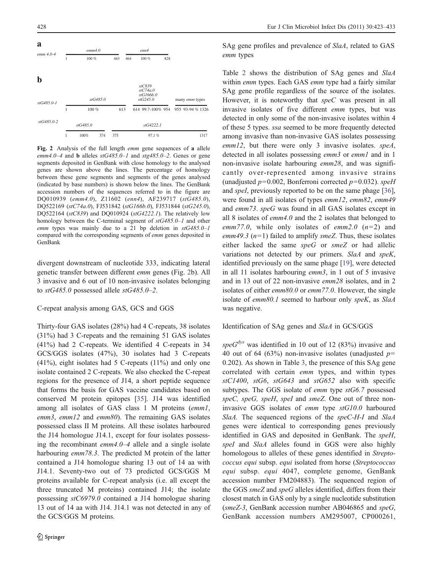<span id="page-5-0"></span>

Fig. 2 Analysis of the full length emm gene sequences of a allele emm4.0–4 and **b** alleles  $stG485.0-1$  and  $stg485.0-2$ . Genes or gene segments deposited in GenBank with close homology to the analysed genes are shown above the lines. The percentage of homology between these gene segments and segments of the genes analysed (indicated by base numbers) is shown below the lines. The GenBank accession numbers of the sequences referred to in the figure are DQ010939 (emm4.0), Z11602 (enn4), AF239717 (stG485.0), DQ522169 (stC74a.0), FJ531842 (stG166b.0), FJ531844 (stG245.0), DO522164 (stC839) and DQ010924 (stG4222.1). The relatively low homology between the C-terminal segment of  $stG485.0-1$  and other emm types was mainly due to a 21 bp deletion in  $stG485.0-1$ compared with the corresponding segments of emm genes deposited in GenBank

divergent downstream of nucleotide 333, indicating lateral genetic transfer between different emm genes (Fig. 2b). All 3 invasive and 6 out of 10 non-invasive isolates belonging to  $stG485.0$  possessed allele  $stG485.0-2$ .

C-repeat analysis among GAS, GCS and GGS

Thirty-four GAS isolates (28%) had 4 C-repeats, 38 isolates (31%) had 3 C-repeats and the remaining 51 GAS isolates (41%) had 2 C-repeats. We identified 4 C-repeats in 34 GCS/GGS isolates (47%), 30 isolates had 3 C-repeats (41%), eight isolates had 5 C-repeats (11%) and only one isolate contained 2 C-repeats. We also checked the C-repeat regions for the presence of J14, a short peptide sequence that forms the basis for GAS vaccine candidates based on conserved M protein epitopes [\[35](#page-9-0)]. J14 was identified among all isolates of GAS class 1 M proteins (emm1, emm3, emm12 and emm80). The remaining GAS isolates possessed class II M proteins. All these isolates harboured the J14 homologue J14.1, except for four isolates possessing the recombinant emm4.0–4 allele and a single isolate harbouring emm78.3. The predicted M protein of the latter contained a J14 homologue sharing 13 out of 14 aa with J14.1. Seventy-two out of 73 predicted GCS/GGS M proteins available for C-repeat analysis (i.e. all except the three truncated M proteins) contained J14; the isolate possessing stC6979.0 contained a J14 homologue sharing 13 out of 14 aa with J14. J14.1 was not detected in any of the GCS/GGS M proteins.

SAg gene profiles and prevalence of SlaA, related to GAS emm types

Table [2](#page-6-0) shows the distribution of SAg genes and SlaA within *emm* types. Each GAS *emm* type had a fairly similar SAg gene profile regardless of the source of the isolates. However, it is noteworthy that speC was present in all invasive isolates of five different emm types, but was detected in only some of the non-invasive isolates within 4 of these 5 types. ssa seemed to be more frequently detected among invasive than non-invasive GAS isolates possessing emm12, but there were only 3 invasive isolates. speA, detected in all isolates possessing *emm3* or *emm1* and in 1 non-invasive isolate harbouring emm28, and was significantly over-represented among invasive strains (unadjusted  $p=0.002$ , Bonferroni corrected  $p=0.032$ ). speH and *spel*, previously reported to be on the same phage [[36\]](#page-9-0), were found in all isolates of types emm12, emm82, emm49 and emm73. speG was found in all GAS isolates except in all 8 isolates of emm4.0 and the 2 isolates that belonged to emm77.0, while only isolates of emm2.0  $(n=2)$  and emm49.3 ( $n=1$ ) failed to amplify smeZ. Thus, these isolates either lacked the same speG or smeZ or had allelic variations not detected by our primers. SlaA and speK, identified previously on the same phage [\[19](#page-9-0)], were detected in all 11 isolates harbouring emm3, in 1 out of 5 invasive and in 13 out of 22 non-invasive emm28 isolates, and in 2 isolates of either emm80.0 or emm77.0. However, the single isolate of emm80.1 seemed to harbour only speK, as SlaA was negative.

## Identification of SAg genes and SlaA in GCS/GGS

spe $G^{dys}$  was identified in 10 out of 12 (83%) invasive and 40 out of 64 (63%) non-invasive isolates (unadjusted  $p=$ 0.202). As shown in Table [3,](#page-6-0) the presence of this SAg gene correlated with certain emm types, and within types stC1400, stG6, stG643 and stG652 also with specific subtypes. The GGS isolate of *emm* type  $stG6.7$  possessed speC, speG, speH, speI and smeZ. One out of three noninvasive GGS isolates of emm type stG10.0 harboured SlaA. The sequenced regions of the speC-H-I and SlaA genes were identical to corresponding genes previously identified in GAS and deposited in GenBank. The speH, speI and SlaA alleles found in GGS were also highly homologous to alleles of these genes identified in *Strepto*coccus equi subsp. equi isolated from horse (Streptococcus equi subsp. equi 4047, complete genome, GenBank accession number FM204883). The sequenced region of the GGS smeZ and speG alleles identified, differs from their closest match in GAS only by a single nucleotide substitution (smeZ-3, GenBank accession number AB046865 and speG, GenBank accession numbers AM295007, CP000261,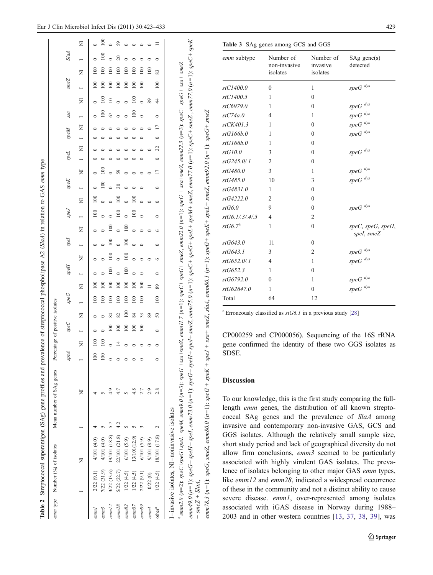<span id="page-6-0"></span>

|                    | emm type Number (%) of isolates |                                                    |     | Mean number of SAg genes                                                                                                                                                                                                                                                                 |         | Percentage of positive isolates |             |                 |       |               |                          |      |           |                |          |         |                |         |           |                 |           |                |           |     |                 |                 |
|--------------------|---------------------------------|----------------------------------------------------|-----|------------------------------------------------------------------------------------------------------------------------------------------------------------------------------------------------------------------------------------------------------------------------------------------|---------|---------------------------------|-------------|-----------------|-------|---------------|--------------------------|------|-----------|----------------|----------|---------|----------------|---------|-----------|-----------------|-----------|----------------|-----------|-----|-----------------|-----------------|
|                    |                                 |                                                    |     |                                                                                                                                                                                                                                                                                          | speA    |                                 | specC       |                 | specG |               | speH                     | spel |           | SpeJ           |          | speK    |                | spel    |           | <b>Nods</b>     | ssa       |                | smeZ      |     | SlaA            |                 |
|                    |                                 |                                                    |     | z                                                                                                                                                                                                                                                                                        |         | Z                               |             | $\overline{z}$  |       | Z             | Ξ                        |      | Ξ         |                | Z        |         | Z              |         | $\bar{z}$ | $\overline{z}$  |           | Z              |           | Z   |                 | Ξ               |
| $_{cmnl}$          | 2/22 (9.1)                      | 4/101 (4.0)                                        |     |                                                                                                                                                                                                                                                                                          | 100     | 100                             |             |                 | 100   | 100           |                          |      |           | 100            | 100      |         |                |         |           |                 |           |                | 100       | 100 |                 |                 |
| emm3               | $7/22$ $(31.9)$                 | 4/101 (4.0)                                        |     |                                                                                                                                                                                                                                                                                          | 100     | 100                             |             |                 | 100   | $\approx$     |                          |      |           |                |          | 100     | 100            |         |           |                 |           | $\overline{0}$ | $\approx$ | 100 | 100             | $\frac{100}{2}$ |
| cmml2              | 3/22 (13.6)                     | 19/101 (18.8)                                      |     |                                                                                                                                                                                                                                                                                          |         |                                 | $\approx 0$ | 84              | 100   | $\approx$     | $\approx$<br>$\approx 0$ | 100  | $\approx$ |                |          |         |                |         |           |                 | 67        | $\approx$      | 100       | 100 |                 |                 |
| emm28              | $5/22$ $(22.7)$                 | 22/101 (21.8)                                      | 4.2 |                                                                                                                                                                                                                                                                                          |         |                                 | 100         | 82              | 100   | 100           |                          |      |           | $\overline{0}$ | 100      | 20      | 59             |         |           |                 |           |                | $\approx$ | 100 | $\overline{20}$ | 59              |
| emm82              | 1/22(4.5)                       | 6/101 (5.9)                                        |     |                                                                                                                                                                                                                                                                                          |         |                                 | 100         | 100             | 100   | 100           | $\approx$<br>100         | 100  | $\approx$ |                |          |         |                |         |           |                 |           |                | 100       | 100 |                 |                 |
| emm87              | 1/22(4.5)                       | 13/101(12.9)                                       |     |                                                                                                                                                                                                                                                                                          |         |                                 | 100         | 84              | 100   | 100           |                          |      |           | 100            | $^{100}$ |         |                |         |           |                 | $\approx$ | 100            | 100       | 100 |                 |                 |
| emm89              | 2/22 (9.1)                      | 6/101 (5.9)                                        |     | 2.7                                                                                                                                                                                                                                                                                      |         |                                 | 100         | 33              | 100   | 100           |                          |      |           |                |          |         |                |         |           |                 |           |                | $\approx$ | 100 |                 |                 |
| emm4               | 0/22(0)                         | 9/101 (8.9)                                        |     | 2.9                                                                                                                                                                                                                                                                                      |         |                                 |             | 89              |       |               |                          |      |           |                |          |         |                |         |           |                 |           | 89             |           | 100 |                 |                 |
| other <sup>a</sup> |                                 | $1/22$ (4.5) $18/101$ (17.8)                       |     | 2.8                                                                                                                                                                                                                                                                                      | $\circ$ |                                 | $\circ$     | $\overline{50}$ | 100   | $\circ$<br>89 | $\circ$                  |      |           | $\circ$        |          | $\circ$ | $\overline{1}$ | $\circ$ | 22        | $\overline{17}$ | $\circ$   | $\frac{4}{3}$  | 100       | 83  | $\circ$         |                 |
|                    |                                 | $=$ invasive isolates, $NI$ = noninvasive isolates |     |                                                                                                                                                                                                                                                                                          |         |                                 |             |                 |       |               |                          |      |           |                |          |         |                |         |           |                 |           |                |           |     |                 |                 |
|                    |                                 |                                                    |     | $\ell$ anm2.0 (n=2); speC+speG+speL+speM, emm9.0 (n=3); speG +ssa+smeZ, emm11.7 (n=1); speC+ smeZ, emm22.0 (n=1); speG + ssa+sme22, emm22.3 (n=3); speC+ sseC+ speC+ ssa+smeZ                                                                                                            |         |                                 |             |                 |       |               |                          |      |           |                |          |         |                |         |           |                 |           |                |           |     |                 |                 |
|                    |                                 |                                                    |     | $\frac{1}{2}$ (n=1): $\frac{3}{2}$ (d + $\frac{3}{2}$ (n=1): $\frac{3}{2}$ (n=1): $\frac{3}{2}$ (n=1): $\frac{3}{2}$ (n=1): $\frac{3}{2}$ (n+1+ $\frac{3}{2}$ (n=1): $\frac{3}{2}$ (n=1): $\frac{3}{2}$ (n=1): $\frac{3}{2}$ (n+1+ $\frac{3}{2}$ (n=1): $\frac{3}{2}$ (n+1+ $\frac{3}{2$ |         |                                 |             |                 |       |               |                          |      |           |                |          |         |                |         |           |                 |           |                |           |     |                 |                 |

Table 2 Streptococcal superantigen (SAg) gene profiles and prevalence of streptococcal phospholipase A2 (Sla4) in relation to GAS emm type

Table 3 SAg genes among GCS and GGS

| emm subtype            | Number of<br>non-invasive<br>isolates | Number of<br>invasive<br>isolates | SAg gene(s)<br>detected            |
|------------------------|---------------------------------------|-----------------------------------|------------------------------------|
| stC1400.0              | $\theta$                              | 1                                 | $speG$ <sup><math>dys</math></sup> |
| stC1400.5              | 1                                     | $\theta$                          |                                    |
| stC6979.0              | 1                                     | $\theta$                          | $speG\ ^{dys}$                     |
| stC74a.0               | $\overline{4}$                        | $\mathbf{1}$                      | $speG$ <sup><math>dys</math></sup> |
| stCK401.3              | 1                                     | $\theta$                          | $speG\ ^{dys}$                     |
| stG166b.0              | 1                                     | $\theta$                          | speG <sup>dys</sup>                |
| stG166b.0              | 1                                     | $\theta$                          |                                    |
| stG10.0                | 3                                     | $\theta$                          | $speG\ ^{dys}$                     |
| stG245.0/.1            | $\overline{2}$                        | $\theta$                          |                                    |
| stG480.0               | 3                                     | 1                                 | $speG\ ^{dys}$                     |
| stG485.0               | 10                                    | 3                                 | $\emph{speG}$ $\emph{dys}$         |
| stG4831.0              | $\mathbf{1}$                          | $\theta$                          |                                    |
| stG4222.0              | $\overline{2}$                        | $\theta$                          |                                    |
| stG6.0                 | 9                                     | $\theta$                          | $speG$ <sup><math>dys</math></sup> |
| $stG6.1/\frac{3}{4}/5$ | $\overline{4}$                        | $\mathfrak{2}$                    |                                    |
| stG6.7 <sup>a</sup>    | 1                                     | $\theta$                          | spec, spec, speH,<br>spel, smeZ    |
| stG643.0               | 11                                    | $\theta$                          |                                    |
| stG643.1               | 3                                     | 2                                 | $speG\ ^{dys}$                     |
| stG652.0/.1            | $\overline{4}$                        | $\mathbf{1}$                      | $speG\ ^{dys}$                     |
| stG652.3               | $\mathbf{1}$                          | $\theta$                          |                                    |
| stG6792.0              | $\theta$                              | $\mathbf{1}$                      | $speG\ ^{dys}$                     |
| stG62647.0             | 1                                     | $\mathbf{0}$                      | $speG\ ^{dys}$                     |
| Total                  | 64                                    | 12                                |                                    |

<sup>a</sup> Erroneously classified as  $stG6.1$  in a previous study [28]

CP000259 and CP000056). Sequencing of the 16S rRNA gene confirmed the identity of these two GGS isolates as SDSE.

# **Discussion**

 $emm80.0 (n=1)$ :  $speG + speK + speJ + ssa + smeZ$ ,

smeZ,

 $emm 78.3 (n=1): specG,$ 

 $+$  smeZ + Slad.

slaA, emm80.1 ( $n=1$ ): speG+ speK+ speL+ smeZ, emm92.0 ( $n=1$ ): speG+ smeZ

To our knowledge, this is the first study comparing the fulllength emm genes, the distribution of all known streptococcal SAg genes and the prevalence of SlaA among invasive and contemporary non-invasive GAS, GCS and GGS isolates. Although the relatively small sample size, short study period and lack of geographical diversity do not allow firm conclusions, emm3 seemed to be particularly associated with highly virulent GAS isolates. The prevalence of isolates belonging to other major GAS emm types, like emm12 and emm28, indicated a widespread occurrence of these in the community and not a distinct ability to cause severe disease. emm1, over-represented among isolates associated with iGAS disease in Norway during 1988-2003 and in other western countries [13, 37, 38, 39], was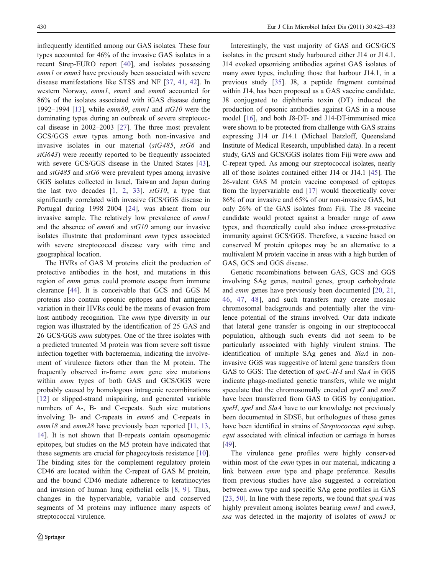infrequently identified among our GAS isolates. These four types accounted for 46% of the invasive GAS isolates in a recent Strep-EURO report [[40\]](#page-9-0), and isolates possessing emm1 or emm3 have previously been associated with severe disease manifestations like STSS and NF [\[37](#page-9-0), [41,](#page-9-0) [42](#page-9-0)]. In western Norway, emm1, emm3 and emm6 accounted for 86% of the isolates associated with iGAS disease during 1992–1994 [[13\]](#page-8-0), while  $emm89$ ,  $emm1$  and  $stG10$  were the dominating types during an outbreak of severe streptococcal disease in 2002–2003 [[27\]](#page-9-0). The three most prevalent GCS/GGS emm types among both non-invasive and invasive isolates in our material (stG485, stG6 and stG643) were recently reported to be frequently associated with severe GCS/GGS disease in the United States [\[43](#page-9-0)], and stG485 and stG6 were prevalent types among invasive GGS isolates collected in Israel, Taiwan and Japan during the last two decades  $[1, 2, 33]$  $[1, 2, 33]$  $[1, 2, 33]$  $[1, 2, 33]$  $[1, 2, 33]$  $[1, 2, 33]$ .  $stGI0$ , a type that significantly correlated with invasive GCS/GGS disease in Portugal during 1998–2004 [\[24](#page-9-0)], was absent from our invasive sample. The relatively low prevalence of emm1 and the absence of emm6 and stG10 among our invasive isolates illustrate that predominant emm types associated with severe streptococcal disease vary with time and geographical location.

The HVRs of GAS M proteins elicit the production of protective antibodies in the host, and mutations in this region of emm genes could promote escape from immune clearance [\[44](#page-9-0)]. It is conceivable that GCS and GGS M proteins also contain opsonic epitopes and that antigenic variation in their HVRs could be the means of evasion from host antibody recognition. The emm type diversity in our region was illustrated by the identification of 25 GAS and 26 GCS/GGS emm subtypes. One of the three isolates with a predicted truncated M protein was from severe soft tissue infection together with bacteraemia, indicating the involvement of virulence factors other than the M protein. The frequently observed in-frame emm gene size mutations within emm types of both GAS and GCS/GGS were probably caused by homologous intragenic recombinations [\[12](#page-8-0)] or slipped-strand mispairing, and generated variable numbers of A-, B- and C-repeats. Such size mutations involving B- and C-repeats in emm6 and C-repeats in emm18 and emm28 have previously been reported [\[11,](#page-8-0) [13,](#page-8-0) [14](#page-8-0)]. It is not shown that B-repeats contain opsonogenic epitopes, but studies on the M5 protein have indicated that these segments are crucial for phagocytosis resistance [\[10](#page-8-0)]. The binding sites for the complement regulatory protein CD46 are located within the C-repeat of GAS M protein, and the bound CD46 mediate adherence to keratinocytes and invasion of human lung epithelial cells [[8,](#page-8-0) [9\]](#page-8-0). Thus, changes in the hypervariable, variable and conserved segments of M proteins may influence many aspects of streptococcal virulence.

Interestingly, the vast majority of GAS and GCS/GCS isolates in the present study harboured either J14 or J14.1. J14 evoked opsonising antibodies against GAS isolates of many *emm* types, including those that harbour J14.1, in a previous study [[35\]](#page-9-0). J8, a peptide fragment contained within J14, has been proposed as a GAS vaccine candidate. J8 conjugated to diphtheria toxin (DT) induced the production of opsonic antibodies against GAS in a mouse model [[16\]](#page-8-0), and both J8-DT- and J14-DT-immunised mice were shown to be protected from challenge with GAS strains expressing J14 or J14.1 (Michael Batzloff, Queensland Institute of Medical Research, unpublished data). In a recent study, GAS and GCS/GGS isolates from Fiji were emm and C-repeat typed. As among our streptococcal isolates, nearly all of those isolates contained either J14 or J14.1 [\[45\]](#page-9-0). The 26-valent GAS M protein vaccine composed of epitopes from the hypervariable end [\[17](#page-8-0)] would theoretically cover 86% of our invasive and 65% of our non-invasive GAS, but only 26% of the GAS isolates from Fiji. The J8 vaccine candidate would protect against a broader range of emm types, and theoretically could also induce cross-protective immunity against GCS/GGS. Therefore, a vaccine based on conserved M protein epitopes may be an alternative to a multivalent M protein vaccine in areas with a high burden of GAS, GCS and GGS disease.

Genetic recombinations between GAS, GCS and GGS involving SAg genes, neutral genes, group carbohydrate and emm genes have previously been documented [[20,](#page-9-0) [21,](#page-9-0) [46,](#page-9-0) [47](#page-9-0), [48](#page-10-0)], and such transfers may create mosaic chromosomal backgrounds and potentially alter the virulence potential of the strains involved. Our data indicate that lateral gene transfer is ongoing in our streptococcal population, although such events did not seem to be particularly associated with highly virulent strains. The identification of multiple SAg genes and SlaA in noninvasive GGS was suggestive of lateral gene transfers from GAS to GGS: The detection of speC-H-I and SlaA in GGS indicate phage-mediated genetic transfers, while we might speculate that the chromosomally encoded speG and smeZ have been transferred from GAS to GGS by conjugation. speH, speI and SlaA have to our knowledge not previously been documented in SDSE, but orthologues of these genes have been identified in strains of Streptococcus equi subsp. equi associated with clinical infection or carriage in horses [\[49](#page-10-0)].

The virulence gene profiles were highly conserved within most of the *emm* types in our material, indicating a link between emm type and phage preference. Results from previous studies have also suggested a correlation between emm type and specific SAg gene profiles in GAS [\[23,](#page-9-0) [50\]](#page-10-0). In line with these reports, we found that speA was highly prevalent among isolates bearing *emm1* and *emm3*, ssa was detected in the majority of isolates of emm3 or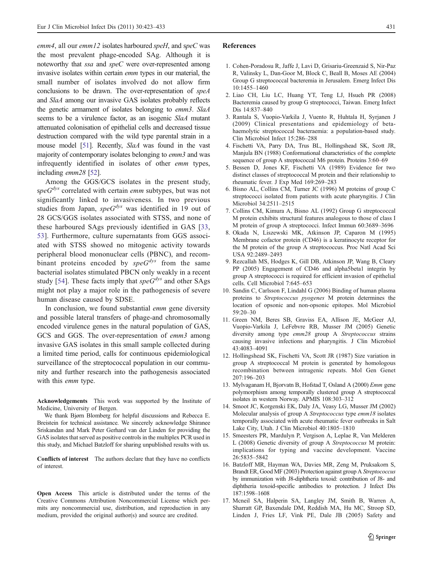<span id="page-8-0"></span>emm4, all our  $emm12$  isolates harboured speH, and speC was the most prevalent phage-encoded SAg. Although it is noteworthy that *ssa* and *speC* were over-represented among invasive isolates within certain emm types in our material, the small number of isolates involved do not allow firm conclusions to be drawn. The over-representation of speA and SlaA among our invasive GAS isolates probably reflects the genetic armament of isolates belonging to *emm3*. SlaA seems to be a virulence factor, as an isogenic SlaA mutant attenuated colonisation of epithelial cells and decreased tissue destruction compared with the wild type parental strain in a mouse model [\[51](#page-10-0)]. Recently, SlaA was found in the vast majority of contemporary isolates belonging to *emm3* and was infrequently identified in isolates of other emm types, including emm28 [\[52\]](#page-10-0).

Among the GGS/GCS isolates in the present study, spe $G^{dys}$  correlated with certain *emm* subtypes, but was not significantly linked to invasiveness. In two previous studies from Japan,  $speG^{dys}$  was identified in 19 out of 28 GCS/GGS isolates associated with STSS, and none of these harboured SAgs previously identified in GAS [\[33,](#page-9-0) [53](#page-10-0)]. Furthermore, culture supernatants from GGS associated with STSS showed no mitogenic activity towards peripheral blood mononuclear cells (PBNC), and recombinant proteins encoded by  $speG<sup>dys</sup>$  from the same bacterial isolates stimulated PBCN only weakly in a recent study [\[54](#page-10-0)]. These facts imply that  $\textit{speG}^{dys}$  and other SAgs might not play a major role in the pathogenesis of severe human disease caused by SDSE.

In conclusion, we found substantial *emm* gene diversity and possible lateral transfers of phage-and chromosomally encoded virulence genes in the natural population of GAS, GCS and GGS. The over-representation of *emm3* among invasive GAS isolates in this small sample collected during a limited time period, calls for continuous epidemiological surveillance of the streptococcal population in our community and further research into the pathogenesis associated with this *emm* type.

Acknowledgements This work was supported by the Institute of Medicine, University of Bergen.

We thank Bjørn Blomberg for helpful discussions and Rebecca E. Breistein for technical assistance. We sincerely acknowledge Shiranee Sriskandan and Mark Peter Gerhard van der Linden for providing the GAS isolates that served as positive controls in the multiplex PCR used in this study, and Michael Batzloff for sharing unpublished results with us.

Conflicts of interest The authors declare that they have no conflicts of interest.

Open Access This article is distributed under the terms of the Creative Commons Attribution Noncommercial License which permits any noncommercial use, distribution, and reproduction in any medium, provided the original author(s) and source are credited.

#### References

- 1. Cohen-Poradosu R, Jaffe J, Lavi D, Grisariu-Greenzaid S, Nir-Paz R, Valinsky L, Dan-Goor M, Block C, Beall B, Moses AE (2004) Group G streptococcal bacteremia in Jerusalem. Emerg Infect Dis 10:1455–1460
- 2. Liao CH, Liu LC, Huang YT, Teng LJ, Hsueh PR (2008) Bacteremia caused by group G streptococci, Taiwan. Emerg Infect Dis 14:837–840
- 3. Rantala S, Vuopio-Varkila J, Vuento R, Huhtala H, Syrjanen J (2009) Clinical presentations and epidemiology of betahaemolytic streptococcal bacteraemia: a population-based study. Clin Microbiol Infect 15:286–288
- 4. Fischetti VA, Parry DA, Trus BL, Hollingshead SK, Scott JR, Manjula BN (1988) Conformational characteristics of the complete sequence of group A streptococcal M6 protein. Proteins 3:60–69
- 5. Bessen D, Jones KF, Fischetti VA (1989) Evidence for two distinct classes of streptococcal M protein and their relationship to rheumatic fever. J Exp Med 169:269–283
- 6. Bisno AL, Collins CM, Turner JC (1996) M proteins of group C streptococci isolated from patients with acute pharyngitis. J Clin Microbiol 34:2511–2515
- 7. Collins CM, Kimura A, Bisno AL (1992) Group G streptococcal M protein exhibits structural features analogous to those of class I M protein of group A streptococci. Infect Immun 60:3689–3696
- 8. Okada N, Liszewski MK, Atkinson JP, Caparon M (1995) Membrane cofactor protein (CD46) is a keratinocyte receptor for the M protein of the group A streptococcus. Proc Natl Acad Sci USA 92:2489–2493
- 9. Rezcallah MS, Hodges K, Gill DB, Atkinson JP, Wang B, Cleary PP (2005) Engagement of CD46 and alpha5beta1 integrin by group A streptococci is required for efficient invasion of epithelial cells. Cell Microbiol 7:645–653
- 10. Sandin C, Carlsson F, Lindahl G (2006) Binding of human plasma proteins to Streptococcus pyogenes M protein determines the location of opsonic and non-opsonic epitopes. Mol Microbiol 59:20–30
- 11. Green NM, Beres SB, Graviss EA, Allison JE, McGeer AJ, Vuopio-Varkila J, LeFebvre RB, Musser JM (2005) Genetic diversity among type emm28 group A Streptococcus strains causing invasive infections and pharyngitis. J Clin Microbiol 43:4083–4091
- 12. Hollingshead SK, Fischetti VA, Scott JR (1987) Size variation in group A streptococcal M protein is generated by homologous recombination between intragenic repeats. Mol Gen Genet 207:196–203
- 13. Mylvaganam H, Bjorvatn B, Hofstad T, Osland A (2000) Emm gene polymorphism among temporally clustered group A streptococcal isolates in western Norway. APMIS 108:303–312
- 14. Smoot JC, Korgenski EK, Daly JA, Veasy LG, Musser JM (2002) Molecular analysis of group A *Streptococcus* type *emm18* isolates temporally associated with acute rheumatic fever outbreaks in Salt Lake City, Utah. J Clin Microbiol 40:1805–1810
- 15. Smeesters PR, Mardulyn P, Vergison A, Leplae R, Van Melderen L (2008) Genetic diversity of group A Streptococcus M protein: implications for typing and vaccine development. Vaccine 26:5835–5842
- 16. Batzloff MR, Hayman WA, Davies MR, Zeng M, Pruksakorn S, Brandt ER, Good MF (2003) Protection against group A Streptococcus by immunization with J8-diphtheria toxoid: contribution of J8- and diphtheria toxoid-specific antibodies to protection. J Infect Dis 187:1598–1608
- 17. Mcneil SA, Halperin SA, Langley JM, Smith B, Warren A, Sharratt GP, Baxendale DM, Reddish MA, Hu MC, Stroop SD, Linden J, Fries LF, Vink PE, Dale JB (2005) Safety and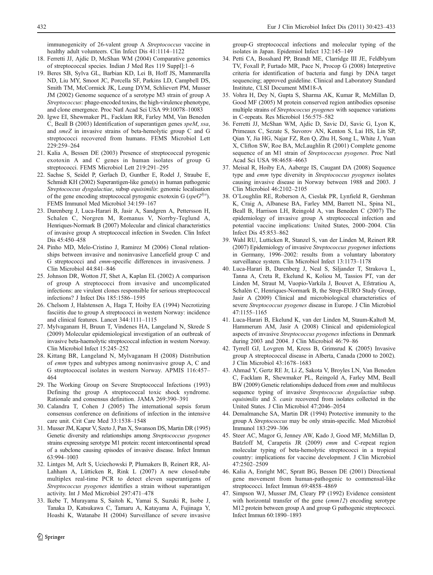<span id="page-9-0"></span>immunogenicity of 26-valent group A Streptococcus vaccine in healthy adult volunteers. Clin Infect Dis 41:1114–1122

- 18. Ferretti JJ, Ajdic D, McShan WM (2004) Comparative genomics of streptococcal species. Indian J Med Res 119 Suppl]:1–6
- 19. Beres SB, Sylva GL, Barbian KD, Lei B, Hoff JS, Mammarella ND, Liu MY, Smoot JC, Porcella SF, Parkins LD, Campbell DS, Smith TM, McCormick JK, Leung DYM, Schlievert PM, Musser JM (2002) Genome sequence of a serotype M3 strain of group A Streptococcus: phage-encoded toxins, the high-virulence phenotype, and clone emergence. Proc Natl Acad Sci USA 99:10078–10083
- 20. Igwe EI, Shewmaker PL, Facklam RR, Farley MM, Van Beneden C, Beall B (2003) Identification of superantigen genes speM, ssa, and smeZ in invasive strains of beta-hemolytic group C and G streptococci recovered from humans. FEMS Microbiol Lett 229:259–264
- 21. Kalia A, Bessen DE (2003) Presence of streptococcal pyrogenic exotoxin A and C genes in human isolates of group G streptococci. FEMS Microbiol Lett 219:291–295
- 22. Sachse S, Seidel P, Gerlach D, Gunther E, Rodel J, Straube E, Schmidt KH (2002) Superantigen-like gene(s) in human pathogenic Streptococcus dysgalactiae, subsp equisimilis: genomic localisation of the gene encoding streptococcal pyrogenic exotoxin G (spe $G<sup>dys</sup>$ ). FEMS Immunol Med Microbiol 34:159–167
- 23. Darenberg J, Luca-Harari B, Jasir A, Sandgren A, Pettersson H, Schalen C, Norgren M, Romanus V, Norrby-Teglund A, Henriques-Normark B (2007) Molecular and clinical characteristics of invasive group A streptococcal infection in Sweden. Clin Infect Dis 45:450–458
- 24. Pinho MD, Melo-Cristino J, Ramirez M (2006) Clonal relationships between invasive and noninvasive Lancefield group C and G streptococci and emm-specific differences in invasiveness. J Clin Microbiol 44:841–846
- 25. Johnson DR, Wotton JT, Shet A, Kaplan EL (2002) A comparison of group A streptococci from invasive and uncomplicated infections: are virulent clones responsible for serious streptococcal infections? J Infect Dis 185:1586–1595
- 26. Chelsom J, Halstensen A, Haga T, Hoiby EA (1994) Necrotizing fasciitis due to group A streptococci in western Norway: incidence and clinical features. Lancet 344:1111–1115
- 27. Mylvaganam H, Bruun T, Vindenes HA, Langeland N, Skrede S (2009) Molecular epidemiological investigation of an outbreak of invasive beta-haemolytic streptococcal infection in western Norway. Clin Microbiol Infect 15:245–252
- 28. Kittang BR, Langeland N, Mylvaganam H (2008) Distribution of emm types and subtypes among noninvasive group A, C and G streptococcal isolates in western Norway. APMIS 116:457– 464
- 29. The Working Group on Severe Streptococcal Infections (1993) Defining the group A streptococcal toxic shock syndrome. Rationale and consensus definition. JAMA 269:390–391
- 30. Calandra T, Cohen J (2005) The international sepsis forum consensus conference on definitions of infection in the intensive care unit. Crit Care Med 33:1538–1548
- 31. Musser JM, Kapur V, Szeto J, Pan X, Swanson DS, Martin DR (1995) Genetic diversity and relationships among Streptococcus pyogenes strains expressing serotype M1 protein: recent intercontinental spread of a subclone causing episodes of invasive disease. Infect Immun 63:994–1003
- 32. Lintges M, Arlt S, Uciechowski P, Plumakers B, Reinert RR, Al-Lahham A, Lütticken R, Rink L (2007) A new closed-tube multiplex real-time PCR to detect eleven superantigens of Streptococcus pyogenes identifies a strain without superantigen activity. Int J Med Microbiol 297:471–478
- 33. Ikebe T, Murayama S, Saitoh K, Yamai S, Suzuki R, Isobe J, Tanaka D, Katsukawa C, Tamaru A, Katayama A, Fujinaga Y, Hoashi K, Watanabe H (2004) Surveillance of severe invasive

group-G streptococcal infections and molecular typing of the isolates in Japan. Epidemiol Infect 132:145–149

- 34. Petti CA, Bosshard PP, Brandt ME, Clarridge III JE, Feldblyum TV, Foxall P, Furtado MR, Pace N, Procop G (2008) Interpretive criteria for identification of bacteria and fungi by DNA target sequencing; approved guideline. Clinical and Laboratory Standard Institute, CLSI Document MM18-A
- 35. Vohra H, Dey N, Gupta S, Sharma AK, Kumar R, McMillan D, Good MF (2005) M protein conserved region antibodies opsonise multiple strains of Streptococcus pyogenes with sequence variations in C-repeats. Res Microbiol 156:575–582
- 36. Ferretti JJ, McShan WM, Ajdic D, Savic DJ, Savic G, Lyon K, Primeaux C, Sezate S, Suvorov AN, Kenton S, Lai HS, Lin SP, Qian Y, Jia HG, Najar FZ, Ren Q, Zhu H, Song L, White J, Yuan X, Clifton SW, Roe BA, McLaughlin R (2001) Complete genome sequence of an M1 strain of Streptococcus pyogenes. Proc Natl Acad Sci USA 98:4658–4663
- 37. Meisal R, Hoiby EA, Aaberge IS, Caugant DA (2008) Sequence type and emm type diversity in Streptococcus pyogenes isolates causing invasive disease in Norway between 1988 and 2003. J Clin Microbiol 46:2102–2105
- 38. O'Loughlin RE, Roberson A, Cieslak PR, Lynfield R, Gershman K, Craig A, Albanese BA, Farley MM, Barrett NL, Spina NL, Beall B, Harrison LH, Reingold A, van Beneden C (2007) The epidemiology of invasive group A streptococcal infection and potential vaccine implications: United States, 2000–2004. Clin Infect Dis 45:853–862
- 39. Wahl RU, Lutticken R, Stanzel S, van der Linden M, Reinert RR (2007) Epidemiology of invasive Streptococcus pyogenes infections in Germany, 1996–2002: results from a voluntary laboratory surveillance system. Clin Microbiol Infect 13:1173–1178
- 40. Luca-Harari B, Darenberg J, Neal S, Siljander T, Strakova L, Tanna A, Creta R, Ekelund K, Koliou M, Tassios PT, van der Linden M, Straut M, Vuopio-Varkila J, Bouvet A, Efstratiou A, Schalén C, Henriques-Normark B, the Strep-EURO Study Group, Jasir A (2009) Clinical and microbiological characteristics of severe Streptococcus pyogenes disease in Europe. J Clin Microbiol 47:1155–1165
- 41. Luca-Harari B, Ekelund K, van der Linden M, Staum-Kaltoft M, Hammerum AM, Jasir A (2008) Clinical and epidemiological aspects of invasive Streptococcus pyogenes infections in Denmark during 2003 and 2004. J Clin Microbiol 46:79–86
- 42. Tyrrell GJ, Lovgren M, Kress B, Grimsrud K (2005) Invasive group A streptococcal disease in Alberta, Canada (2000 to 2002). J Clin Microbiol 43:1678–1683
- 43. Ahmad Y, Gertz RE Jr, Li Z, Sakota V, Broyles LN, Van Beneden C, Facklam R, Shewmaker PL, Reingold A, Farley MM, Beall BW (2009) Genetic relationships deduced from emm and multilocus sequence typing of invasive Streptococcus dysgalactiae subsp. equisimilis and S. canis recovered from isolates collected in the United States. J Clin Microbiol 47:2046–2054
- 44. Demalmanche SA, Martin DR (1994) Protective immunity to the group A Streptococcus may be only strain-specific. Med Microbiol Immunol 183:299–306
- 45. Steer AC, Magor G, Jenney AW, Kado J, Good MF, McMillan D, Batzloff M, Carapetis JR (2009) emm and C-repeat region molecular typing of beta-hemolytic streptococci in a tropical country: implications for vaccine development. J Clin Microbiol 47:2502–2509
- 46. Kalia A, Enright MC, Spratt BG, Bessen DE (2001) Directional gene movement from human-pathogenic to commensal-like streptococci. Infect Immun 69:4858–4869
- 47. Simpson WJ, Musser JM, Cleary PP (1992) Evidence consistent with horizontal transfer of the gene (emm12) encoding serotype M12 protein between group A and group G pathogenic streptococci. Infect Immun 60:1890–1893